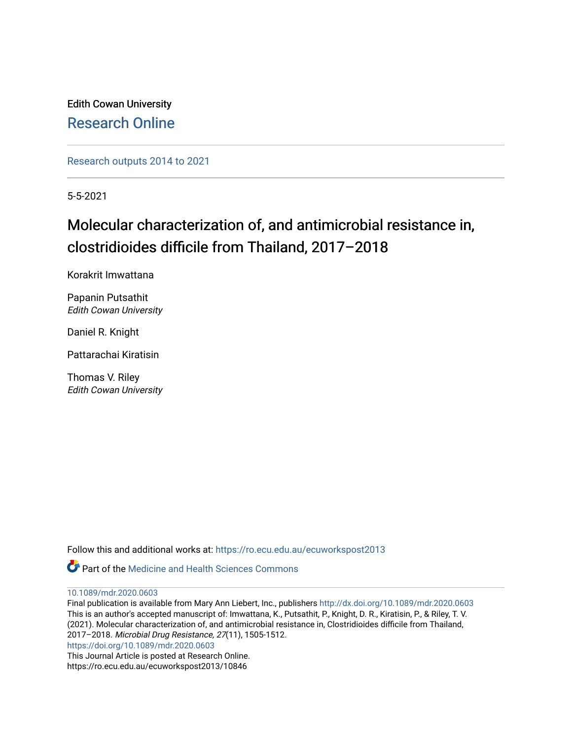Edith Cowan University [Research Online](https://ro.ecu.edu.au/) 

[Research outputs 2014 to 2021](https://ro.ecu.edu.au/ecuworkspost2013) 

5-5-2021

# Molecular characterization of, and antimicrobial resistance in, clostridioides difficile from Thailand, 2017–2018

Korakrit Imwattana

Papanin Putsathit Edith Cowan University

Daniel R. Knight

Pattarachai Kiratisin

Thomas V. Riley Edith Cowan University

Follow this and additional works at: [https://ro.ecu.edu.au/ecuworkspost2013](https://ro.ecu.edu.au/ecuworkspost2013?utm_source=ro.ecu.edu.au%2Fecuworkspost2013%2F10846&utm_medium=PDF&utm_campaign=PDFCoverPages) 

**C** Part of the Medicine and Health Sciences Commons

[10.1089/mdr.2020.0603](http://dx.doi.org/10.1089/mdr.2020.0603) 

Final publication is available from Mary Ann Liebert, Inc., publishers<http://dx.doi.org/10.1089/mdr.2020.0603> This is an author's accepted manuscript of: Imwattana, K., Putsathit, P., Knight, D. R., Kiratisin, P., & Riley, T. V. (2021). Molecular characterization of, and antimicrobial resistance in, Clostridioides difficile from Thailand, 2017–2018. Microbial Drug Resistance, 27(11), 1505-1512. <https://doi.org/10.1089/mdr.2020.0603> This Journal Article is posted at Research Online.

https://ro.ecu.edu.au/ecuworkspost2013/10846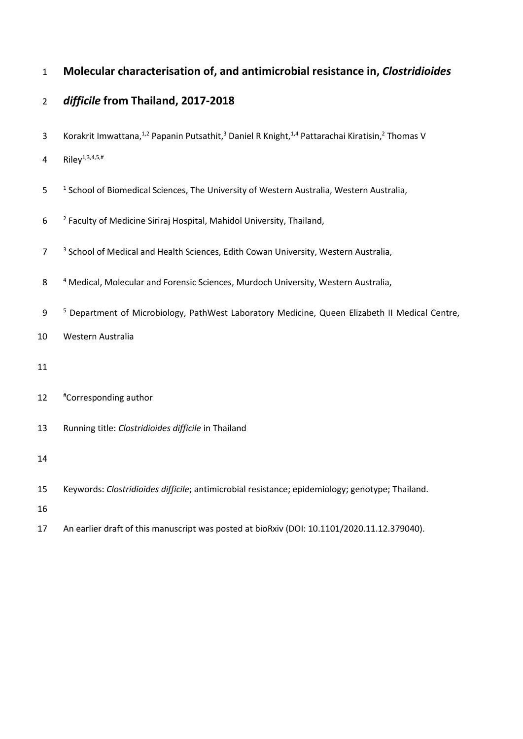## **Molecular characterisation of, and antimicrobial resistance in,** *Clostridioides*

## *difficile* **from Thailand, 2017-2018**

- 3 Korakrit Imwattana,<sup>1,2</sup> Papanin Putsathit,<sup>3</sup> Daniel R Knight,<sup>1,4</sup> Pattarachai Kiratisin,<sup>2</sup> Thomas V
- 4 Riley<sup>1,3,4,5,#</sup>
- 5 <sup>1</sup> School of Biomedical Sciences, The University of Western Australia, Western Australia,
- <sup>2</sup> Faculty of Medicine Siriraj Hospital, Mahidol University, Thailand,
- <sup>3</sup> School of Medical and Health Sciences, Edith Cowan University, Western Australia,
- 8 4 Medical, Molecular and Forensic Sciences, Murdoch University, Western Australia,
- <sup>5</sup> Department of Microbiology, PathWest Laboratory Medicine, Queen Elizabeth II Medical Centre,
- Western Australia
- 
- 12 #Corresponding author
- Running title: *Clostridioides difficile* in Thailand
- 
- Keywords: *Clostridioides difficile*; antimicrobial resistance; epidemiology; genotype; Thailand.
- 
- An earlier draft of this manuscript was posted at bioRxiv (DOI: 10.1101/2020.11.12.379040).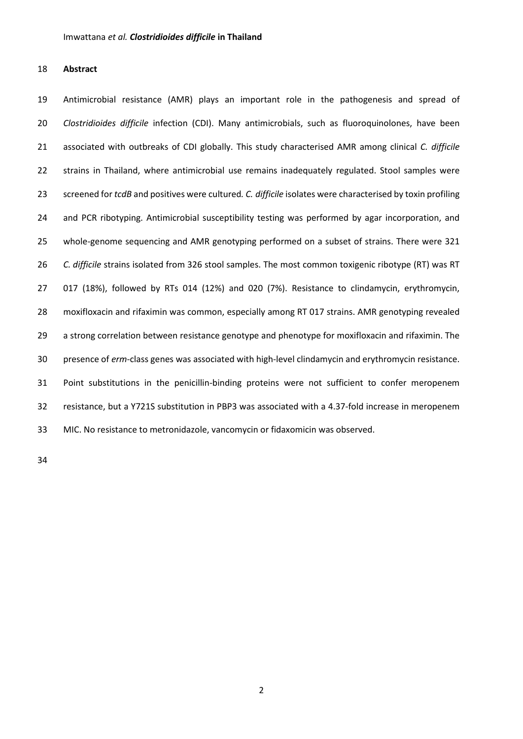#### **Abstract**

 Antimicrobial resistance (AMR) plays an important role in the pathogenesis and spread of *Clostridioides difficile* infection (CDI). Many antimicrobials, such as fluoroquinolones, have been associated with outbreaks of CDI globally. This study characterised AMR among clinical *C. difficile* strains in Thailand, where antimicrobial use remains inadequately regulated. Stool samples were screened for *tcdB* and positives were cultured*. C. difficile* isolates were characterised by toxin profiling 24 and PCR ribotyping. Antimicrobial susceptibility testing was performed by agar incorporation, and whole-genome sequencing and AMR genotyping performed on a subset of strains. There were 321 *C. difficile* strains isolated from 326 stool samples. The most common toxigenic ribotype (RT) was RT 017 (18%), followed by RTs 014 (12%) and 020 (7%). Resistance to clindamycin, erythromycin, moxifloxacin and rifaximin was common, especially among RT 017 strains. AMR genotyping revealed 29 a strong correlation between resistance genotype and phenotype for moxifloxacin and rifaximin. The presence of *erm*-class genes was associated with high-level clindamycin and erythromycin resistance. Point substitutions in the penicillin-binding proteins were not sufficient to confer meropenem resistance, but a Y721S substitution in PBP3 was associated with a 4.37-fold increase in meropenem MIC. No resistance to metronidazole, vancomycin or fidaxomicin was observed.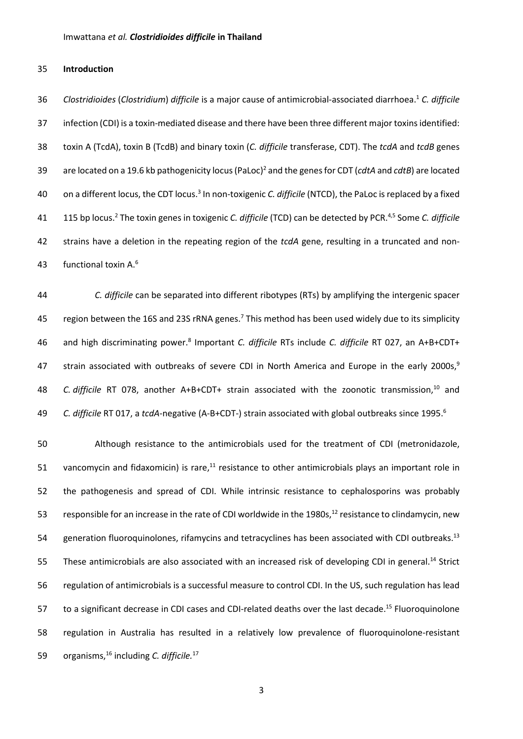#### 35 **Introduction**

*Clostridioides* (*Clostridium*) *difficile* is a major cause of antimicrobial-associated diarrhoea. <sup>1</sup> 36 *C. difficile* 37 infection (CDI) is a toxin-mediated disease and there have been three different major toxins identified: 38 toxin A (TcdA), toxin B (TcdB) and binary toxin (*C. difficile* transferase, CDT). The *tcdA* and *tcdB* genes are located on a 19.6 kb pathogenicity locus (PaLoc)2 39 and the genes for CDT (*cdtA* and *cdtB*) are located 40 on a different locus, the CDT locus.<sup>3</sup> In non-toxigenic *C. difficile* (NTCD), the PaLoc is replaced by a fixed 41 115 bp locus.<sup>2</sup> The toxin genes in toxigenic *C. difficile* (TCD) can be detected by PCR.<sup>4,5</sup> Some *C. difficile* 42 strains have a deletion in the repeating region of the *tcdA* gene, resulting in a truncated and non-43 functional toxin  $A$ .<sup>6</sup>

44 *C. difficile* can be separated into different ribotypes (RTs) by amplifying the intergenic spacer 45 region between the 16S and 23S rRNA genes.<sup>7</sup> This method has been used widely due to its simplicity 46 and high discriminating power.<sup>8</sup> Important *C. difficile* RTs include *C. difficile* RT 027, an A+B+CDT+ 47 strain associated with outbreaks of severe CDI in North America and Europe in the early 2000s,<sup>9</sup> 48 C. difficile RT 078, another A+B+CDT+ strain associated with the zoonotic transmission,<sup>10</sup> and *C. difficile* RT 017, a *tcdA*-negative (A-B+CDT-) strain associated with global outbreaks since 1995. <sup>6</sup> 49

50 Although resistance to the antimicrobials used for the treatment of CDI (metronidazole, 51 vancomycin and fidaxomicin) is rare, $^{11}$  resistance to other antimicrobials plays an important role in 52 the pathogenesis and spread of CDI. While intrinsic resistance to cephalosporins was probably 53 responsible for an increase in the rate of CDI worldwide in the 1980s,<sup>12</sup> resistance to clindamycin, new 54 generation fluoroquinolones, rifamycins and tetracyclines has been associated with CDI outbreaks.<sup>13</sup> 55 These antimicrobials are also associated with an increased risk of developing CDI in general.<sup>14</sup> Strict 56 regulation of antimicrobials is a successful measure to control CDI. In the US, such regulation has lead 57 to a significant decrease in CDI cases and CDI-related deaths over the last decade.<sup>15</sup> Fluoroquinolone 58 regulation in Australia has resulted in a relatively low prevalence of fluoroquinolone-resistant 59 organisms, <sup>16</sup> including *C. difficile*.<sup>17</sup>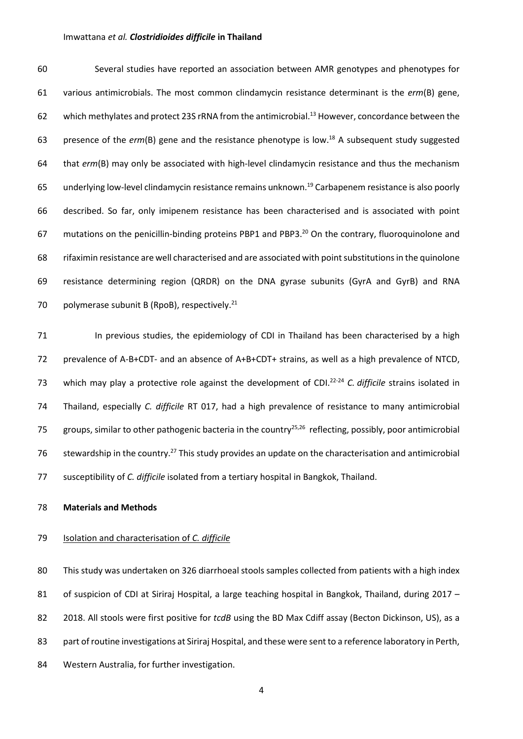60 Several studies have reported an association between AMR genotypes and phenotypes for 61 various antimicrobials. The most common clindamycin resistance determinant is the *erm*(B) gene, 62 which methylates and protect 23S rRNA from the antimicrobial.<sup>13</sup> However, concordance between the 63 presence of the *erm*(B) gene and the resistance phenotype is low.<sup>18</sup> A subsequent study suggested 64 that *erm*(B) may only be associated with high-level clindamycin resistance and thus the mechanism 65 underlying low-level clindamycin resistance remains unknown.<sup>19</sup> Carbapenem resistance is also poorly 66 described. So far, only imipenem resistance has been characterised and is associated with point 67 mutations on the penicillin-binding proteins PBP1 and PBP3.<sup>20</sup> On the contrary, fluoroquinolone and 68 rifaximin resistance are well characterised and are associated with point substitutions in the quinolone 69 resistance determining region (QRDR) on the DNA gyrase subunits (GyrA and GyrB) and RNA 70 polymerase subunit B (RpoB), respectively. $21$ 

71 In previous studies, the epidemiology of CDI in Thailand has been characterised by a high 72 prevalence of A-B+CDT- and an absence of A+B+CDT+ strains, as well as a high prevalence of NTCD, 73 which may play a protective role against the development of CDI.<sup>22-24</sup> C. difficile strains isolated in 74 Thailand, especially *C. difficile* RT 017, had a high prevalence of resistance to many antimicrobial 75 groups, similar to other pathogenic bacteria in the country<sup>25,26</sup> reflecting, possibly, poor antimicrobial 76 stewardship in the country.<sup>27</sup> This study provides an update on the characterisation and antimicrobial 77 susceptibility of *C. difficile* isolated from a tertiary hospital in Bangkok, Thailand.

#### 78 **Materials and Methods**

#### 79 Isolation and characterisation of *C. difficile*

80 This study was undertaken on 326 diarrhoeal stools samples collected from patients with a high index 81 of suspicion of CDI at Siriraj Hospital, a large teaching hospital in Bangkok, Thailand, during 2017 -82 2018. All stools were first positive for *tcdB* using the BD Max Cdiff assay (Becton Dickinson, US), as a 83 part of routine investigations at Siriraj Hospital, and these were sent to a reference laboratory in Perth, 84 Western Australia, for further investigation.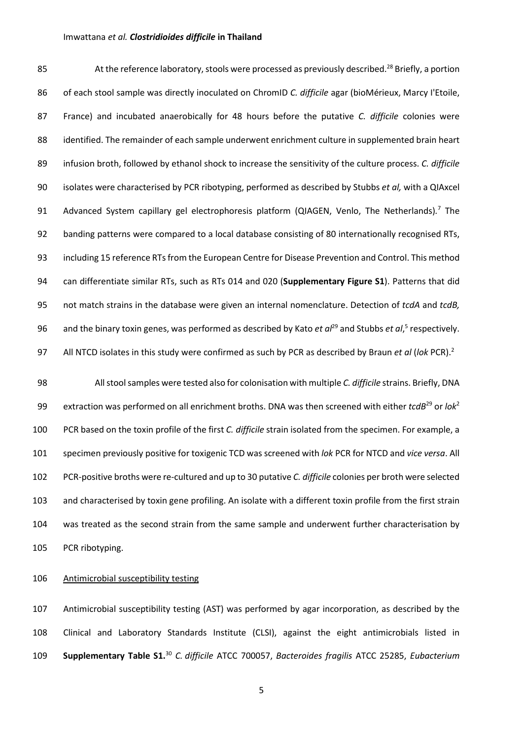85 At the reference laboratory, stools were processed as previously described.<sup>28</sup> Briefly, a portion of each stool sample was directly inoculated on ChromID *C. difficile* agar (bioMérieux, Marcy I'Etoile, France) and incubated anaerobically for 48 hours before the putative *C. difficile* colonies were 88 identified. The remainder of each sample underwent enrichment culture in supplemented brain heart infusion broth, followed by ethanol shock to increase the sensitivity of the culture process. *C. difficile* isolates were characterised by PCR ribotyping, performed as described by Stubbs *et al,* with a QIAxcel 91 Advanced System capillary gel electrophoresis platform (QIAGEN, Venlo, The Netherlands).<sup>7</sup> The banding patterns were compared to a local database consisting of 80 internationally recognised RTs, including 15 reference RTsfrom the European Centre for Disease Prevention and Control. This method can differentiate similar RTs, such as RTs 014 and 020 (**Supplementary Figure S1**). Patterns that did not match strains in the database were given an internal nomenclature. Detection of *tcdA* and *tcdB,* 96 and the binary toxin genes, was performed as described by Kato *et al<sup>29</sup>* and Stubbs *et al*,<sup>5</sup> respectively. All NTCD isolates in this study were confirmed as such by PCR as described by Braun *et al* (*lok* PCR). <sup>2</sup>

 All stool samples were tested also for colonisation with multiple *C. difficile* strains. Briefly, DNA extraction was performed on all enrichment broths. DNA was then screened with either *tcdB*<sup>29</sup> or *lok*<sup>2</sup> PCR based on the toxin profile of the first *C. difficile* strain isolated from the specimen. For example, a specimen previously positive for toxigenic TCD was screened with *lok* PCR for NTCD and *vice versa*. All PCR-positive broths were re-cultured and up to 30 putative *C. difficile* colonies per broth were selected and characterised by toxin gene profiling. An isolate with a different toxin profile from the first strain was treated as the second strain from the same sample and underwent further characterisation by PCR ribotyping.

#### Antimicrobial susceptibility testing

 Antimicrobial susceptibility testing (AST) was performed by agar incorporation, as described by the Clinical and Laboratory Standards Institute (CLSI), against the eight antimicrobials listed in **Supplementary Table S1.** <sup>30</sup> *C. difficile* ATCC 700057, *Bacteroides fragilis* ATCC 25285, *Eubacterium*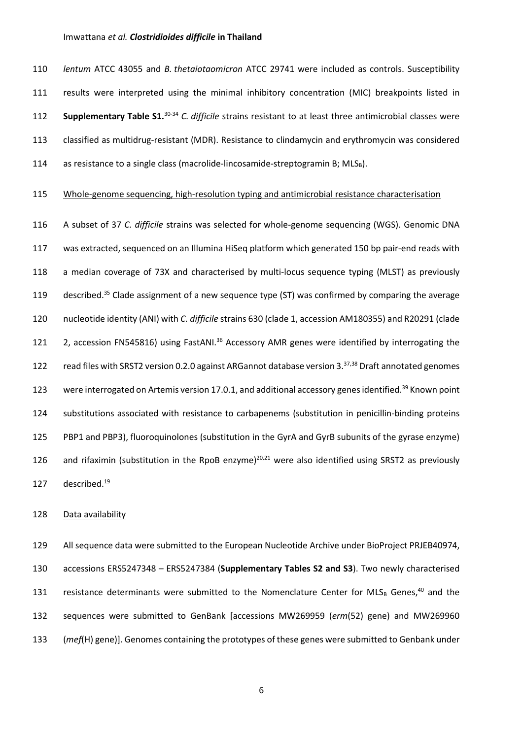*lentum* ATCC 43055 and *B. thetaiotaomicron* ATCC 29741 were included as controls. Susceptibility results were interpreted using the minimal inhibitory concentration (MIC) breakpoints listed in **Supplementary Table S1.**<sup>30-34</sup> C. difficile strains resistant to at least three antimicrobial classes were classified as multidrug-resistant (MDR). Resistance to clindamycin and erythromycin was considered 114 as resistance to a single class (macrolide-lincosamide-streptogramin B;  $MLS_B$ ).

#### 115 Whole-genome sequencing, high-resolution typing and antimicrobial resistance characterisation

116 A subset of 37 *C. difficile* strains was selected for whole-genome sequencing (WGS). Genomic DNA 117 was extracted, sequenced on an Illumina HiSeq platform which generated 150 bp pair-end reads with 118 a median coverage of 73X and characterised by multi-locus sequence typing (MLST) as previously 119 described.<sup>35</sup> Clade assignment of a new sequence type (ST) was confirmed by comparing the average 120 nucleotide identity (ANI) with *C. difficile* strains 630 (clade 1, accession AM180355) and R20291 (clade 121 2, accession FN545816) using FastANI.<sup>36</sup> Accessory AMR genes were identified by interrogating the 122 read files with SRST2 version 0.2.0 against ARGannot database version 3.<sup>37,38</sup> Draft annotated genomes 123 were interrogated on Artemis version 17.0.1, and additional accessory genes identified.<sup>39</sup> Known point 124 substitutions associated with resistance to carbapenems (substitution in penicillin-binding proteins 125 PBP1 and PBP3), fluoroquinolones (substitution in the GyrA and GyrB subunits of the gyrase enzyme) 126 and rifaximin (substitution in the RpoB enzyme)<sup>20,21</sup> were also identified using SRST2 as previously 127 described.<sup>19</sup>

#### 128 Data availability

 All sequence data were submitted to the European Nucleotide Archive under BioProject PRJEB40974, accessions ERS5247348 – ERS5247384 (**Supplementary Tables S2 and S3**). Two newly characterised 131 resistance determinants were submitted to the Nomenclature Center for MLSB Genes,<sup>40</sup> and the sequences were submitted to GenBank [accessions MW269959 (*erm*(52) gene) and MW269960 (*mef*(H) gene)]. Genomes containing the prototypes of these genes were submitted to Genbank under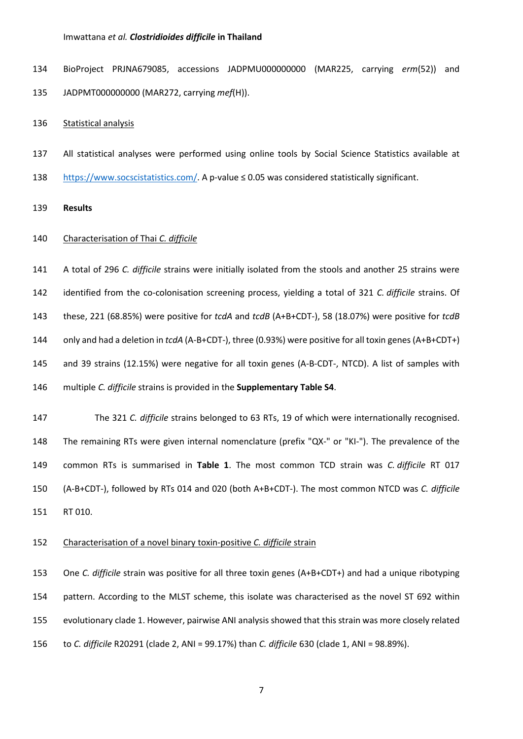BioProject PRJNA679085, accessions JADPMU000000000 (MAR225, carrying *erm*(52)) and JADPMT000000000 (MAR272, carrying *mef*(H)).

Statistical analysis

 All statistical analyses were performed using online tools by Social Science Statistics available at [https://www.socscistatistics.com/.](https://www.socscistatistics.com/) A p-value ≤ 0.05 was considered statistically significant.

**Results**

#### Characterisation of Thai *C. difficile*

 A total of 296 *C. difficile* strains were initially isolated from the stools and another 25 strains were identified from the co-colonisation screening process, yielding a total of 321 *C. difficile* strains. Of these, 221 (68.85%) were positive for *tcdA* and *tcdB* (A+B+CDT-), 58 (18.07%) were positive for *tcdB* only and had a deletion in *tcdA* (A-B+CDT-), three (0.93%) were positive for all toxin genes(A+B+CDT+) and 39 strains (12.15%) were negative for all toxin genes (A-B-CDT-, NTCD). A list of samples with multiple *C. difficile* strains is provided in the **Supplementary Table S4**.

 The 321 *C. difficile* strains belonged to 63 RTs, 19 of which were internationally recognised. The remaining RTs were given internal nomenclature (prefix "QX-" or "KI-"). The prevalence of the common RTs is summarised in **Table 1**. The most common TCD strain was *C. difficile* RT 017 (A-B+CDT-), followed by RTs 014 and 020 (both A+B+CDT-). The most common NTCD was *C. difficile* RT 010.

#### Characterisation of a novel binary toxin-positive *C. difficile* strain

 One *C. difficile* strain was positive for all three toxin genes (A+B+CDT+) and had a unique ribotyping pattern. According to the MLST scheme, this isolate was characterised as the novel ST 692 within evolutionary clade 1. However, pairwise ANI analysis showed that this strain was more closely related to *C. difficile* R20291 (clade 2, ANI = 99.17%) than *C. difficile* 630 (clade 1, ANI = 98.89%).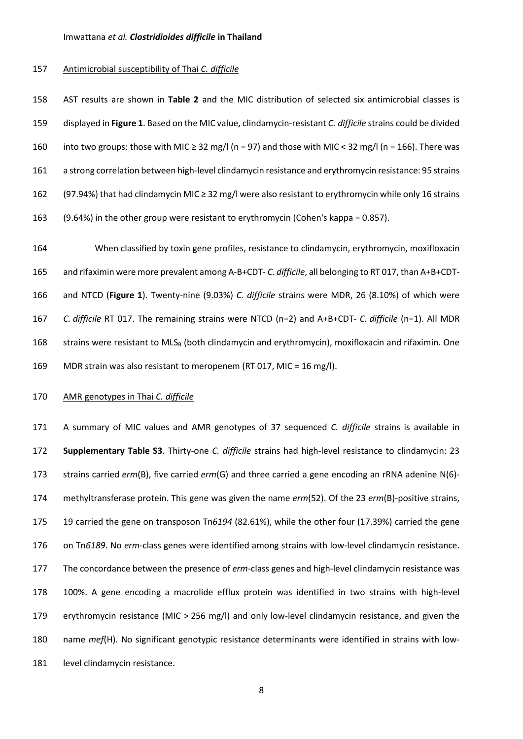#### Antimicrobial susceptibility of Thai *C. difficile*

 AST results are shown in **Table 2** and the MIC distribution of selected six antimicrobial classes is displayed in **Figure 1**. Based on the MIC value, clindamycin-resistant *C. difficile* strains could be divided 160 into two groups: those with MIC  $\geq$  32 mg/l (n = 97) and those with MIC < 32 mg/l (n = 166). There was 161 a strong correlation between high-level clindamycin resistance and erythromycin resistance: 95 strains (97.94%) that had clindamycin MIC ≥ 32 mg/l were also resistant to erythromycin while only 16 strains (9.64%) in the other group were resistant to erythromycin (Cohen's kappa = 0.857).

 When classified by toxin gene profiles, resistance to clindamycin, erythromycin, moxifloxacin and rifaximin were more prevalent among A-B+CDT- *C. difficile*, all belonging to RT 017, than A+B+CDT- and NTCD (**Figure 1**). Twenty-nine (9.03%) *C. difficile* strains were MDR, 26 (8.10%) of which were *C. difficile* RT 017. The remaining strains were NTCD (n=2) and A+B+CDT- *C. difficile* (n=1). All MDR 168 strains were resistant to MLS<sub>B</sub> (both clindamycin and erythromycin), moxifloxacin and rifaximin. One MDR strain was also resistant to meropenem (RT 017, MIC = 16 mg/l).

#### AMR genotypes in Thai *C. difficile*

 A summary of MIC values and AMR genotypes of 37 sequenced *C. difficile* strains is available in **Supplementary Table S3**. Thirty-one *C. difficile* strains had high-level resistance to clindamycin: 23 strains carried *erm*(B), five carried *erm*(G) and three carried a gene encoding an rRNA adenine N(6)- methyltransferase protein. This gene was given the name *erm*(52). Of the 23 *erm*(B)-positive strains, 19 carried the gene on transposon Tn*6194* (82.61%), while the other four (17.39%) carried the gene on Tn*6189*. No *erm*-class genes were identified among strains with low-level clindamycin resistance. The concordance between the presence of *erm*-class genes and high-level clindamycin resistance was 100%. A gene encoding a macrolide efflux protein was identified in two strains with high-level erythromycin resistance (MIC > 256 mg/l) and only low-level clindamycin resistance, and given the name *mef*(H). No significant genotypic resistance determinants were identified in strains with low-181 level clindamycin resistance.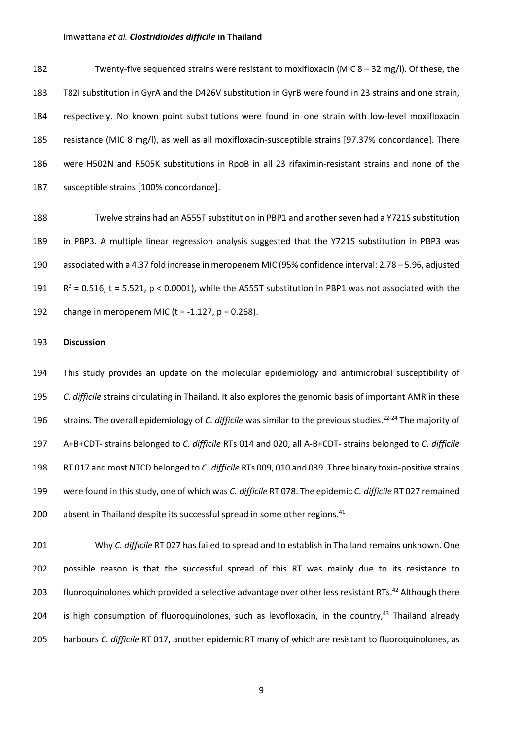Twenty-five sequenced strains were resistant to moxifloxacin (MIC 8 – 32 mg/l). Of these, the T82I substitution in GyrA and the D426V substitution in GyrB were found in 23 strains and one strain, respectively. No known point substitutions were found in one strain with low-level moxifloxacin resistance (MIC 8 mg/l), as well as all moxifloxacin-susceptible strains [97.37% concordance]. There were H502N and R505K substitutions in RpoB in all 23 rifaximin-resistant strains and none of the susceptible strains [100% concordance].

 Twelve strains had an A555T substitution in PBP1 and another seven had a Y721S substitution in PBP3. A multiple linear regression analysis suggested that the Y721S substitution in PBP3 was associated with a 4.37 fold increase in meropenem MIC (95% confidence interval: 2.78 – 5.96, adjusted  $R^2 = 0.516$ , t = 5.521, p < 0.0001), while the A555T substitution in PBP1 was not associated with the 192 change in meropenem MIC ( $t = -1.127$ ,  $p = 0.268$ ).

#### **Discussion**

 This study provides an update on the molecular epidemiology and antimicrobial susceptibility of *C. difficile* strains circulating in Thailand. It also explores the genomic basis of important AMR in these 196 strains. The overall epidemiology of *C. difficile* was similar to the previous studies.<sup>22-24</sup> The majority of A+B+CDT- strains belonged to *C. difficile* RTs 014 and 020, all A-B+CDT- strains belonged to *C. difficile* RT 017 and most NTCD belonged to *C. difficile* RTs 009, 010 and 039. Three binary toxin-positive strains were found in this study, one of which was *C. difficile* RT 078. The epidemic *C. difficile* RT 027 remained 200 absent in Thailand despite its successful spread in some other regions.<sup>41</sup>

 Why *C. difficile* RT 027 has failed to spread and to establish in Thailand remains unknown. One possible reason is that the successful spread of this RT was mainly due to its resistance to 203 fluoroquinolones which provided a selective advantage over other less resistant RTs.<sup>42</sup> Although there 204 is high consumption of fluoroquinolones, such as levofloxacin, in the country,<sup>43</sup> Thailand already harbours *C. difficile* RT 017, another epidemic RT many of which are resistant to fluoroquinolones, as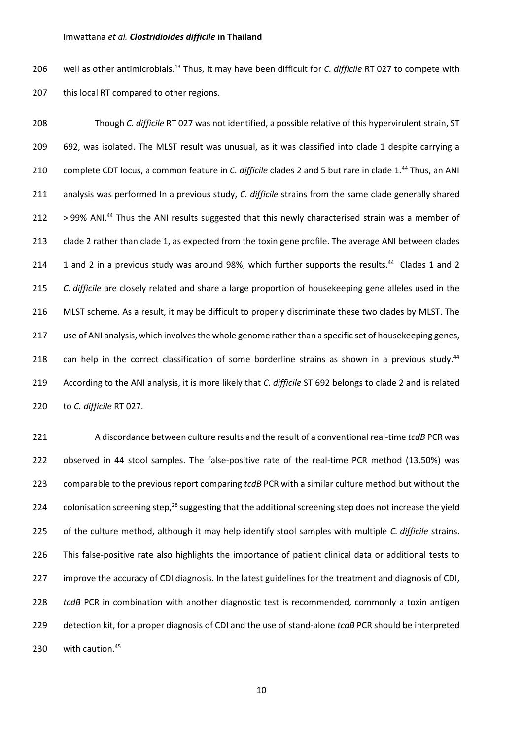206 well as other antimicrobials.<sup>13</sup> Thus, it may have been difficult for *C. difficile* RT 027 to compete with 207 this local RT compared to other regions.

 Though *C. difficile* RT 027 was not identified, a possible relative of this hypervirulent strain, ST 692, was isolated. The MLST result was unusual, as it was classified into clade 1 despite carrying a 210 complete CDT locus, a common feature in *C. difficile* clades 2 and 5 but rare in clade 1.<sup>44</sup> Thus, an ANI analysis was performed In a previous study, *C. difficile* strains from the same clade generally shared 212 > 99% ANI.<sup>44</sup> Thus the ANI results suggested that this newly characterised strain was a member of clade 2 rather than clade 1, as expected from the toxin gene profile. The average ANI between clades 214 1 and 2 in a previous study was around 98%, which further supports the results.<sup>44</sup> Clades 1 and 2 *C. difficile* are closely related and share a large proportion of housekeeping gene alleles used in the MLST scheme. As a result, it may be difficult to properly discriminate these two clades by MLST. The 217 use of ANI analysis, which involves the whole genome rather than a specific set of housekeeping genes, 218 can help in the correct classification of some borderline strains as shown in a previous study.<sup>44</sup> According to the ANI analysis, it is more likely that *C. difficile* ST 692 belongs to clade 2 and is related to *C. difficile* RT 027.

 A discordance between culture results and the result of a conventional real-time *tcdB* PCR was observed in 44 stool samples. The false-positive rate of the real-time PCR method (13.50%) was comparable to the previous report comparing *tcdB* PCR with a similar culture method but without the 224 colonisation screening step,<sup>28</sup> suggesting that the additional screening step does not increase the yield of the culture method, although it may help identify stool samples with multiple *C. difficile* strains. This false-positive rate also highlights the importance of patient clinical data or additional tests to improve the accuracy of CDI diagnosis. In the latest guidelines for the treatment and diagnosis of CDI, *tcdB* PCR in combination with another diagnostic test is recommended, commonly a toxin antigen detection kit, for a proper diagnosis of CDI and the use of stand-alone *tcdB* PCR should be interpreted with caution. <sup>45</sup>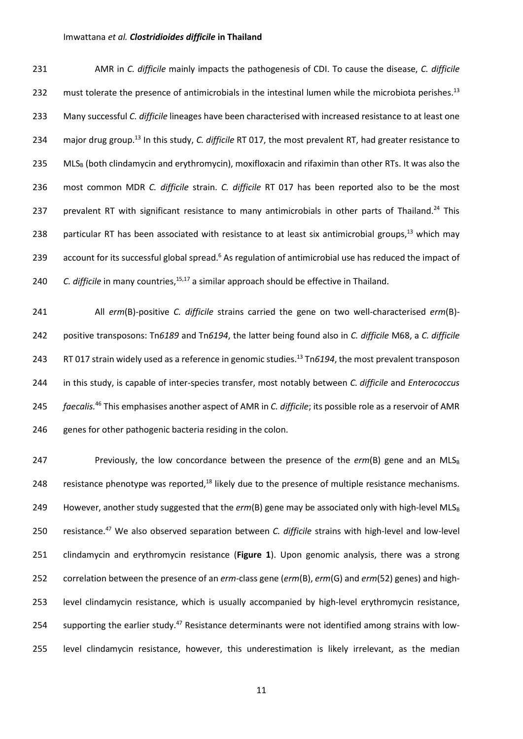| 231 | AMR in C. difficile mainly impacts the pathogenesis of CDI. To cause the disease, C. difficile                       |
|-----|----------------------------------------------------------------------------------------------------------------------|
| 232 | must tolerate the presence of antimicrobials in the intestinal lumen while the microbiota perishes. <sup>13</sup>    |
| 233 | Many successful C. difficile lineages have been characterised with increased resistance to at least one              |
| 234 | major drug group. <sup>13</sup> In this study, C. difficile RT 017, the most prevalent RT, had greater resistance to |
| 235 | MLS <sub>B</sub> (both clindamycin and erythromycin), moxifloxacin and rifaximin than other RTs. It was also the     |
| 236 | most common MDR C. difficile strain. C. difficile RT 017 has been reported also to be the most                       |
| 237 | prevalent RT with significant resistance to many antimicrobials in other parts of Thailand. <sup>24</sup> This       |
| 238 | particular RT has been associated with resistance to at least six antimicrobial groups, <sup>13</sup> which may      |
| 239 | account for its successful global spread. <sup>6</sup> As regulation of antimicrobial use has reduced the impact of  |
| 240 | C. difficile in many countries, <sup>15,17</sup> a similar approach should be effective in Thailand.                 |

 All *erm*(B)-positive *C. difficile* strains carried the gene on two well-characterised *erm*(B)- positive transposons: Tn*6189* and Tn*6194*, the latter being found also in *C. difficile* M68, a *C. difficile* RT 017 strain widely used as a reference in genomic studies. <sup>13</sup> 243 Tn*6194*, the most prevalent transposon in this study, is capable of inter-species transfer, most notably between *C. difficile* and *Enterococcus faecalis.<sup>46</sup>* This emphasises another aspect of AMR in *C. difficile*; its possible role as a reservoir of AMR 246 genes for other pathogenic bacteria residing in the colon.

247 **Previously, the low concordance between the presence of the**  $erm(B)$  **gene and an MLS<sub>B</sub>** 248 resistance phenotype was reported, $^{18}$  likely due to the presence of multiple resistance mechanisms. 249 However, another study suggested that the  $erm(B)$  gene may be associated only with high-level MLS<sub>B</sub> 250 resistance.<sup>47</sup> We also observed separation between *C. difficile* strains with high-level and low-level 251 clindamycin and erythromycin resistance (**Figure 1**). Upon genomic analysis, there was a strong 252 correlation between the presence of an *erm*-class gene (*erm*(B), *erm*(G) and *erm*(52) genes) and high-253 level clindamycin resistance, which is usually accompanied by high-level erythromycin resistance, 254 supporting the earlier study.<sup>47</sup> Resistance determinants were not identified among strains with low-255 level clindamycin resistance, however, this underestimation is likely irrelevant, as the median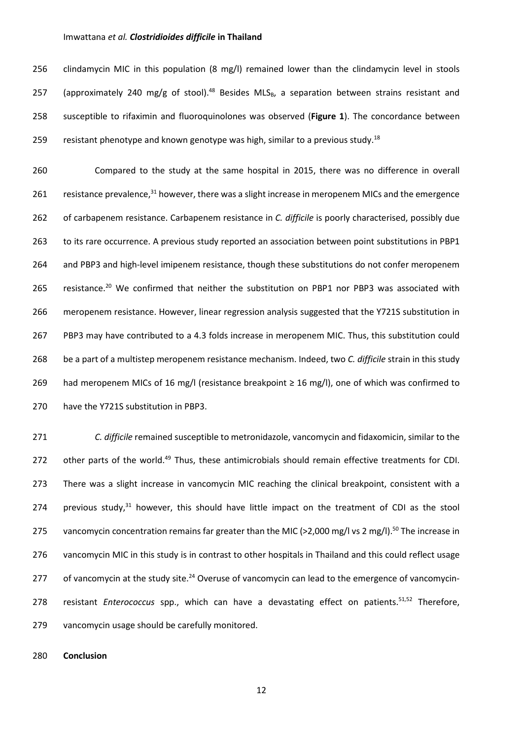256 clindamycin MIC in this population (8 mg/l) remained lower than the clindamycin level in stools 257 (approximately 240 mg/g of stool).<sup>48</sup> Besides MLS<sub>B</sub>, a separation between strains resistant and 258 susceptible to rifaximin and fluoroquinolones was observed (**Figure 1**). The concordance between 259 resistant phenotype and known genotype was high, similar to a previous study.<sup>18</sup>

 Compared to the study at the same hospital in 2015, there was no difference in overall 261 resistance prevalence,  $31$  however, there was a slight increase in meropenem MICs and the emergence of carbapenem resistance. Carbapenem resistance in *C. difficile* is poorly characterised, possibly due to its rare occurrence. A previous study reported an association between point substitutions in PBP1 and PBP3 and high-level imipenem resistance, though these substitutions do not confer meropenem 265 resistance.<sup>20</sup> We confirmed that neither the substitution on PBP1 nor PBP3 was associated with meropenem resistance. However, linear regression analysis suggested that the Y721S substitution in PBP3 may have contributed to a 4.3 folds increase in meropenem MIC. Thus, this substitution could be a part of a multistep meropenem resistance mechanism. Indeed, two *C. difficile* strain in this study 269 had meropenem MICs of 16 mg/l (resistance breakpoint  $\geq$  16 mg/l), one of which was confirmed to have the Y721S substitution in PBP3.

271 *C. difficile* remained susceptible to metronidazole, vancomycin and fidaxomicin, similar to the 272 other parts of the world.<sup>49</sup> Thus, these antimicrobials should remain effective treatments for CDI. 273 There was a slight increase in vancomycin MIC reaching the clinical breakpoint, consistent with a 274 previous study,<sup>31</sup> however, this should have little impact on the treatment of CDI as the stool 275 vancomycin concentration remains far greater than the MIC (>2,000 mg/l vs 2 mg/l).<sup>50</sup> The increase in 276 vancomycin MIC in this study is in contrast to other hospitals in Thailand and this could reflect usage 277 of vancomycin at the study site.<sup>24</sup> Overuse of vancomycin can lead to the emergence of vancomycin-278 resistant *Enterococcus* spp., which can have a devastating effect on patients.<sup>51,52</sup> Therefore, 279 vancomycin usage should be carefully monitored.

280 **Conclusion**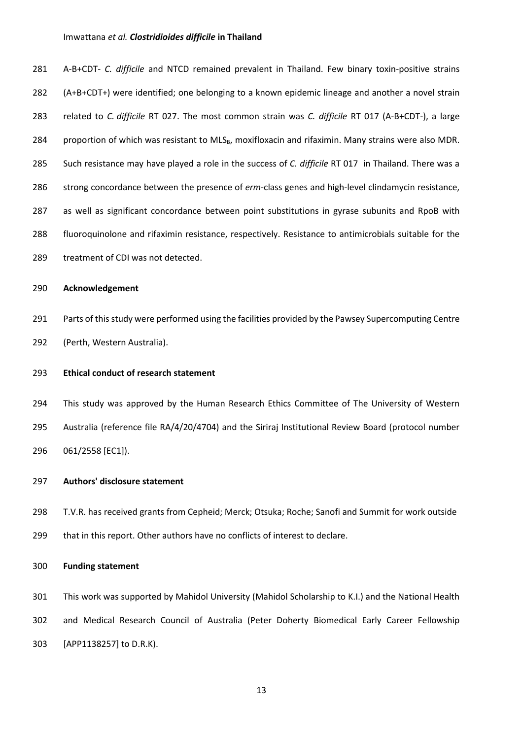A-B+CDT- *C. difficile* and NTCD remained prevalent in Thailand. Few binary toxin-positive strains (A+B+CDT+) were identified; one belonging to a known epidemic lineage and another a novel strain related to *C. difficile* RT 027. The most common strain was *C. difficile* RT 017 (A-B+CDT-), a large 284 proportion of which was resistant to MLS<sub>B</sub>, moxifloxacin and rifaximin. Many strains were also MDR. Such resistance may have played a role in the success of *C. difficile* RT 017 in Thailand. There was a strong concordance between the presence of *erm*-class genes and high-level clindamycin resistance, as well as significant concordance between point substitutions in gyrase subunits and RpoB with fluoroquinolone and rifaximin resistance, respectively. Resistance to antimicrobials suitable for the treatment of CDI was not detected.

#### **Acknowledgement**

 Parts of this study were performed using the facilities provided by the Pawsey Supercomputing Centre (Perth, Western Australia).

#### **Ethical conduct of research statement**

 This study was approved by the Human Research Ethics Committee of The University of Western Australia (reference file RA/4/20/4704) and the Siriraj Institutional Review Board (protocol number 061/2558 [EC1]).

#### **Authors' disclosure statement**

 T.V.R. has received grants from Cepheid; Merck; Otsuka; Roche; Sanofi and Summit for work outside that in this report. Other authors have no conflicts of interest to declare.

#### **Funding statement**

 This work was supported by Mahidol University (Mahidol Scholarship to K.I.) and the National Health and Medical Research Council of Australia (Peter Doherty Biomedical Early Career Fellowship [APP1138257] to D.R.K).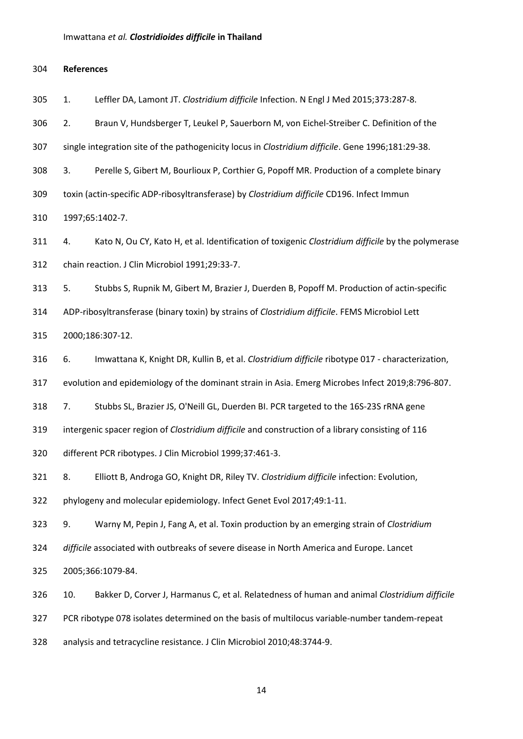**References**

1. Leffler DA, Lamont JT. *Clostridium difficile* Infection. N Engl J Med 2015;373:287-8.

2. Braun V, Hundsberger T, Leukel P, Sauerborn M, von Eichel-Streiber C. Definition of the

single integration site of the pathogenicity locus in *Clostridium difficile*. Gene 1996;181:29-38.

3. Perelle S, Gibert M, Bourlioux P, Corthier G, Popoff MR. Production of a complete binary

toxin (actin-specific ADP-ribosyltransferase) by *Clostridium difficile* CD196. Infect Immun

1997;65:1402-7.

 4. Kato N, Ou CY, Kato H, et al. Identification of toxigenic *Clostridium difficile* by the polymerase chain reaction. J Clin Microbiol 1991;29:33-7.

5. Stubbs S, Rupnik M, Gibert M, Brazier J, Duerden B, Popoff M. Production of actin-specific

ADP-ribosyltransferase (binary toxin) by strains of *Clostridium difficile*. FEMS Microbiol Lett

2000;186:307-12.

6. Imwattana K, Knight DR, Kullin B, et al. *Clostridium difficile* ribotype 017 - characterization,

evolution and epidemiology of the dominant strain in Asia. Emerg Microbes Infect 2019;8:796-807.

7. Stubbs SL, Brazier JS, O'Neill GL, Duerden BI. PCR targeted to the 16S-23S rRNA gene

intergenic spacer region of *Clostridium difficile* and construction of a library consisting of 116

different PCR ribotypes. J Clin Microbiol 1999;37:461-3.

8. Elliott B, Androga GO, Knight DR, Riley TV. *Clostridium difficile* infection: Evolution,

phylogeny and molecular epidemiology. Infect Genet Evol 2017;49:1-11.

9. Warny M, Pepin J, Fang A, et al. Toxin production by an emerging strain of *Clostridium* 

*difficile* associated with outbreaks of severe disease in North America and Europe. Lancet

2005;366:1079-84.

 10. Bakker D, Corver J, Harmanus C, et al. Relatedness of human and animal *Clostridium difficile* PCR ribotype 078 isolates determined on the basis of multilocus variable-number tandem-repeat

analysis and tetracycline resistance. J Clin Microbiol 2010;48:3744-9.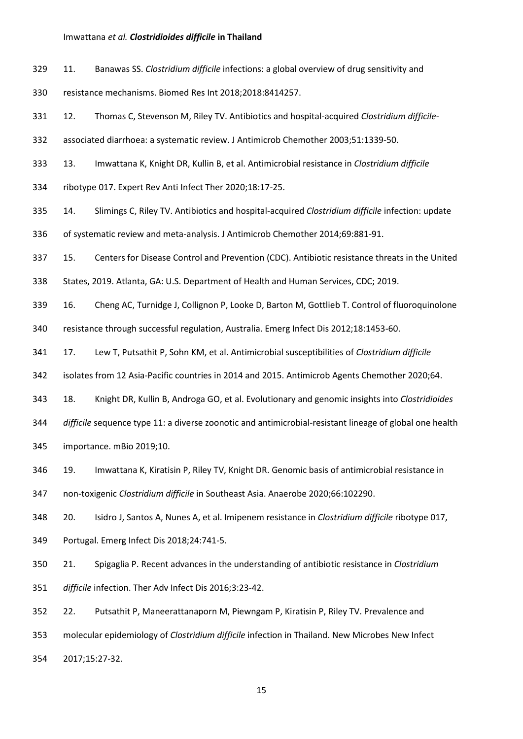- 11. Banawas SS. *Clostridium difficile* infections: a global overview of drug sensitivity and
- resistance mechanisms. Biomed Res Int 2018;2018:8414257.
- 12. Thomas C, Stevenson M, Riley TV. Antibiotics and hospital-acquired *Clostridium difficile*-
- associated diarrhoea: a systematic review. J Antimicrob Chemother 2003;51:1339-50.
- 13. Imwattana K, Knight DR, Kullin B, et al. Antimicrobial resistance in *Clostridium difficile*
- ribotype 017. Expert Rev Anti Infect Ther 2020;18:17-25.
- 14. Slimings C, Riley TV. Antibiotics and hospital-acquired *Clostridium difficile* infection: update
- of systematic review and meta-analysis. J Antimicrob Chemother 2014;69:881-91.
- 15. Centers for Disease Control and Prevention (CDC). Antibiotic resistance threats in the United
- States, 2019. Atlanta, GA: U.S. Department of Health and Human Services, CDC; 2019.
- 16. Cheng AC, Turnidge J, Collignon P, Looke D, Barton M, Gottlieb T. Control of fluoroquinolone
- resistance through successful regulation, Australia. Emerg Infect Dis 2012;18:1453-60.
- 17. Lew T, Putsathit P, Sohn KM, et al. Antimicrobial susceptibilities of *Clostridium difficile*
- isolates from 12 Asia-Pacific countries in 2014 and 2015. Antimicrob Agents Chemother 2020;64.
- 18. Knight DR, Kullin B, Androga GO, et al. Evolutionary and genomic insights into *Clostridioides*
- *difficile* sequence type 11: a diverse zoonotic and antimicrobial-resistant lineage of global one health
- importance. mBio 2019;10.
- 19. Imwattana K, Kiratisin P, Riley TV, Knight DR. Genomic basis of antimicrobial resistance in
- non-toxigenic *Clostridium difficile* in Southeast Asia. Anaerobe 2020;66:102290.
- 20. Isidro J, Santos A, Nunes A, et al. Imipenem resistance in *Clostridium difficile* ribotype 017,
- Portugal. Emerg Infect Dis 2018;24:741-5.
- 21. Spigaglia P. Recent advances in the understanding of antibiotic resistance in *Clostridium difficile* infection. Ther Adv Infect Dis 2016;3:23-42.
- 22. Putsathit P, Maneerattanaporn M, Piewngam P, Kiratisin P, Riley TV. Prevalence and
- molecular epidemiology of *Clostridium difficile* infection in Thailand. New Microbes New Infect

2017;15:27-32.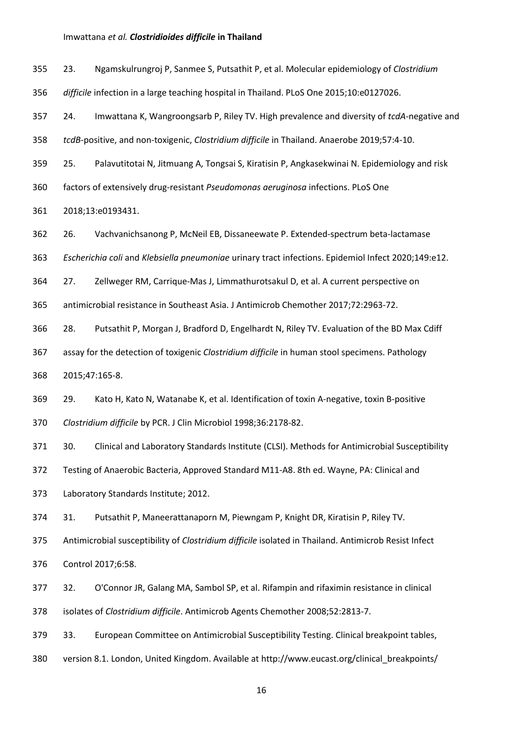23. Ngamskulrungroj P, Sanmee S, Putsathit P, et al. Molecular epidemiology of *Clostridium* 

*difficile* infection in a large teaching hospital in Thailand. PLoS One 2015;10:e0127026.

24. Imwattana K, Wangroongsarb P, Riley TV. High prevalence and diversity of *tcdA*-negative and

*tcdB*-positive, and non-toxigenic, *Clostridium difficile* in Thailand. Anaerobe 2019;57:4-10.

25. Palavutitotai N, Jitmuang A, Tongsai S, Kiratisin P, Angkasekwinai N. Epidemiology and risk

factors of extensively drug-resistant *Pseudomonas aeruginosa* infections. PLoS One

2018;13:e0193431.

26. Vachvanichsanong P, McNeil EB, Dissaneewate P. Extended-spectrum beta-lactamase

*Escherichia coli* and *Klebsiella pneumoniae* urinary tract infections. Epidemiol Infect 2020;149:e12.

27. Zellweger RM, Carrique-Mas J, Limmathurotsakul D, et al. A current perspective on

antimicrobial resistance in Southeast Asia. J Antimicrob Chemother 2017;72:2963-72.

28. Putsathit P, Morgan J, Bradford D, Engelhardt N, Riley TV. Evaluation of the BD Max Cdiff

assay for the detection of toxigenic *Clostridium difficile* in human stool specimens. Pathology

2015;47:165-8.

 29. Kato H, Kato N, Watanabe K, et al. Identification of toxin A-negative, toxin B-positive *Clostridium difficile* by PCR. J Clin Microbiol 1998;36:2178-82.

30. Clinical and Laboratory Standards Institute (CLSI). Methods for Antimicrobial Susceptibility

Testing of Anaerobic Bacteria, Approved Standard M11-A8. 8th ed. Wayne, PA: Clinical and

Laboratory Standards Institute; 2012.

31. Putsathit P, Maneerattanaporn M, Piewngam P, Knight DR, Kiratisin P, Riley TV.

Antimicrobial susceptibility of *Clostridium difficile* isolated in Thailand. Antimicrob Resist Infect

Control 2017;6:58.

 32. O'Connor JR, Galang MA, Sambol SP, et al. Rifampin and rifaximin resistance in clinical isolates of *Clostridium difficile*. Antimicrob Agents Chemother 2008;52:2813-7.

33. European Committee on Antimicrobial Susceptibility Testing. Clinical breakpoint tables,

version 8.1. London, United Kingdom. Available at http://www.eucast.org/clinical\_breakpoints/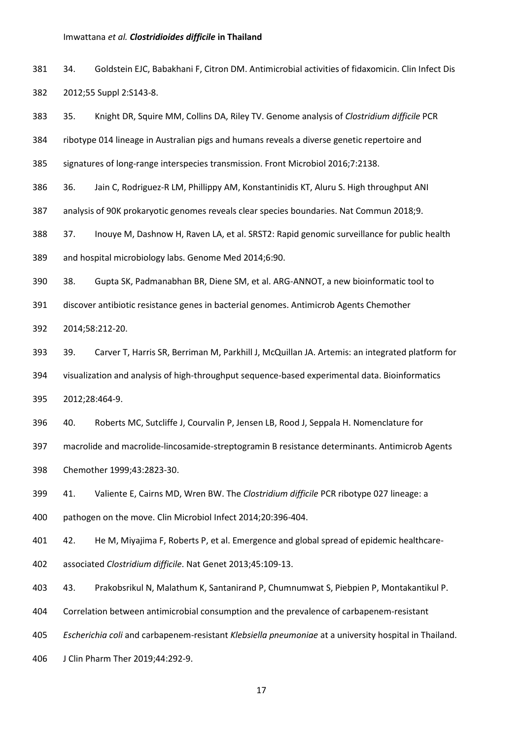- 34. Goldstein EJC, Babakhani F, Citron DM. Antimicrobial activities of fidaxomicin. Clin Infect Dis 2012;55 Suppl 2:S143-8.
- 35. Knight DR, Squire MM, Collins DA, Riley TV. Genome analysis of *Clostridium difficile* PCR
- ribotype 014 lineage in Australian pigs and humans reveals a diverse genetic repertoire and
- signatures of long-range interspecies transmission. Front Microbiol 2016;7:2138.
- 36. Jain C, Rodriguez-R LM, Phillippy AM, Konstantinidis KT, Aluru S. High throughput ANI
- analysis of 90K prokaryotic genomes reveals clear species boundaries. Nat Commun 2018;9.
- 37. Inouye M, Dashnow H, Raven LA, et al. SRST2: Rapid genomic surveillance for public health
- and hospital microbiology labs. Genome Med 2014;6:90.
- 38. Gupta SK, Padmanabhan BR, Diene SM, et al. ARG-ANNOT, a new bioinformatic tool to
- discover antibiotic resistance genes in bacterial genomes. Antimicrob Agents Chemother
- 2014;58:212-20.
- 39. Carver T, Harris SR, Berriman M, Parkhill J, McQuillan JA. Artemis: an integrated platform for visualization and analysis of high-throughput sequence-based experimental data. Bioinformatics
- 2012;28:464-9.
- 40. Roberts MC, Sutcliffe J, Courvalin P, Jensen LB, Rood J, Seppala H. Nomenclature for
- macrolide and macrolide-lincosamide-streptogramin B resistance determinants. Antimicrob Agents Chemother 1999;43:2823-30.
- 41. Valiente E, Cairns MD, Wren BW. The *Clostridium difficile* PCR ribotype 027 lineage: a
- pathogen on the move. Clin Microbiol Infect 2014;20:396-404.

42. He M, Miyajima F, Roberts P, et al. Emergence and global spread of epidemic healthcare-

- associated *Clostridium difficile*. Nat Genet 2013;45:109-13.
- 43. Prakobsrikul N, Malathum K, Santanirand P, Chumnumwat S, Piebpien P, Montakantikul P.
- Correlation between antimicrobial consumption and the prevalence of carbapenem-resistant
- *Escherichia coli* and carbapenem-resistant *Klebsiella pneumoniae* at a university hospital in Thailand.
- J Clin Pharm Ther 2019;44:292-9.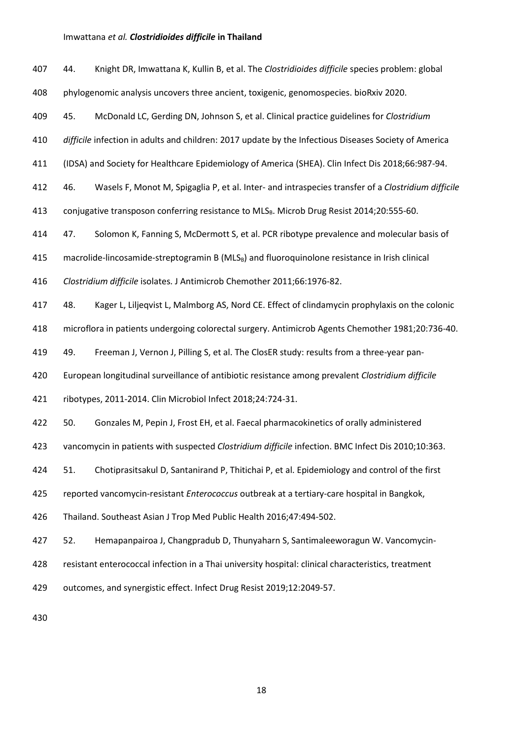| 407 | 44. | Knight DR, Imwattana K, Kullin B, et al. The Clostridioides difficile species problem: global              |
|-----|-----|------------------------------------------------------------------------------------------------------------|
| 408 |     | phylogenomic analysis uncovers three ancient, toxigenic, genomospecies. bioRxiv 2020.                      |
| 409 | 45. | McDonald LC, Gerding DN, Johnson S, et al. Clinical practice guidelines for Clostridium                    |
| 410 |     | difficile infection in adults and children: 2017 update by the Infectious Diseases Society of America      |
| 411 |     | (IDSA) and Society for Healthcare Epidemiology of America (SHEA). Clin Infect Dis 2018;66:987-94.          |
| 412 | 46. | Wasels F, Monot M, Spigaglia P, et al. Inter- and intraspecies transfer of a Clostridium difficile         |
| 413 |     | conjugative transposon conferring resistance to MLS <sub>B</sub> . Microb Drug Resist 2014;20:555-60.      |
| 414 | 47. | Solomon K, Fanning S, McDermott S, et al. PCR ribotype prevalence and molecular basis of                   |
| 415 |     | macrolide-lincosamide-streptogramin B (MLS <sub>B</sub> ) and fluoroquinolone resistance in Irish clinical |
| 416 |     | Clostridium difficile isolates. J Antimicrob Chemother 2011;66:1976-82.                                    |
| 417 | 48. | Kager L, Liljeqvist L, Malmborg AS, Nord CE. Effect of clindamycin prophylaxis on the colonic              |
| 418 |     | microflora in patients undergoing colorectal surgery. Antimicrob Agents Chemother 1981;20:736-40.          |
| 419 | 49. | Freeman J, Vernon J, Pilling S, et al. The ClosER study: results from a three-year pan-                    |
| 420 |     | European longitudinal surveillance of antibiotic resistance among prevalent Clostridium difficile          |
| 421 |     | ribotypes, 2011-2014. Clin Microbiol Infect 2018;24:724-31.                                                |
| 422 | 50. | Gonzales M, Pepin J, Frost EH, et al. Faecal pharmacokinetics of orally administered                       |
| 423 |     | vancomycin in patients with suspected Clostridium difficile infection. BMC Infect Dis 2010;10:363.         |
| 424 | 51. | Chotiprasitsakul D, Santanirand P, Thitichai P, et al. Epidemiology and control of the first               |
| 425 |     | reported vancomycin-resistant Enterococcus outbreak at a tertiary-care hospital in Bangkok,                |
| 426 |     | Thailand. Southeast Asian J Trop Med Public Health 2016;47:494-502.                                        |
| 427 | 52. | Hemapanpairoa J, Changpradub D, Thunyaharn S, Santimaleeworagun W. Vancomycin-                             |
| 428 |     | resistant enterococcal infection in a Thai university hospital: clinical characteristics, treatment        |
| 429 |     | outcomes, and synergistic effect. Infect Drug Resist 2019;12:2049-57.                                      |
|     |     |                                                                                                            |